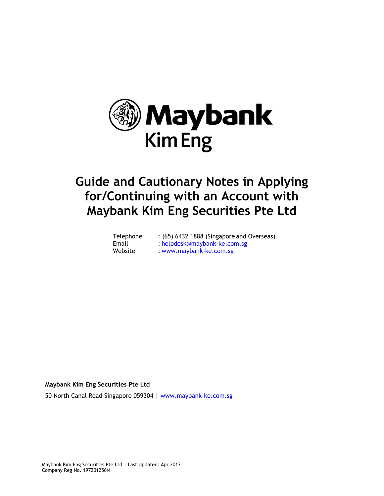

# **Guide and Cautionary Notes in Applying for/Continuing with an Account with Maybank Kim Eng Securities Pte Ltd**

| Telephone | : (65) 6432 1888 (Singapore and Overseas) |
|-----------|-------------------------------------------|
| Email     | : helpdesk@maybank-ke.com.sg              |
| Website   | : www.maybank-ke.com.sg                   |

# **Maybank Kim Eng Securities Pte Ltd**

50 North Canal Road Singapore 059304 | [www.maybank-ke.com.sg](http://www.maybank-ke.com.sg/)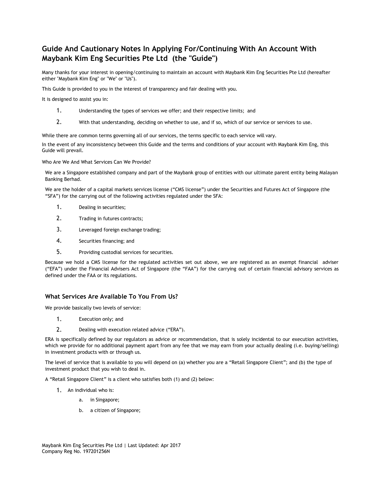# **Guide And Cautionary Notes In Applying For/Continuing With An Account With Maybank Kim Eng Securities Pte Ltd (the "Guide")**

Many thanks for your interest in opening/continuing to maintain an account with Maybank Kim Eng Securities Pte Ltd (hereafter either "Maybank Kim Eng" or "We" or "Us").

This Guide is provided to you in the interest of transparency and fair dealing with you.

It is designed to assist you in:

- 1. Understanding the types of services we offer; and their respective limits; and
- 2. With that understanding, deciding on whether to use, and if so, which of our service or services to use.

While there are common terms governing all of our services, the terms specific to each service will vary.

In the event of any inconsistency between this Guide and the terms and conditions of your account with Maybank Kim Eng, this Guide will prevail.

Who Are We And What Services Can We Provide?

We are a Singapore established company and part of the Maybank group of entities with our ultimate parent entity being Malayan Banking Berhad.

We are the holder of a capital markets services license ("CMS license") under the Securities and Futures Act of Singapore (the "SFA") for the carrying out of the following activities regulated under the SFA:

- 1. Dealing in securities;
- 2. Trading in futures contracts;
- 3. Leveraged foreign exchange trading;
- 4. Securities financing; and
- 5. Providing custodial services for securities.

Because we hold a CMS license for the regulated activities set out above, we are registered as an exempt financial adviser ("EFA") under the Financial Advisers Act of Singapore (the "FAA") for the carrying out of certain financial advisory services as defined under the FAA or its regulations.

# **What Services Are Available To You From Us?**

We provide basically two levels of service:

- 1. Execution only; and
- 2. Dealing with execution related advice ("ERA").

ERA is specifically defined by our regulators as advice or recommendation, that is solely incidental to our execution activities, which we provide for no additional payment apart from any fee that we may earn from your actually dealing (i.e. buying/selling) in investment products with or through us.

The level of service that is available to you will depend on (a) whether you are a "Retail Singapore Client"; and (b) the type of investment product that you wish to deal in.

A "Retail Singapore Client" is a client who satisfies both (1) and (2) below:

- 1. An individual who is:
	- a. in Singapore;
	- b. a citizen of Singapore;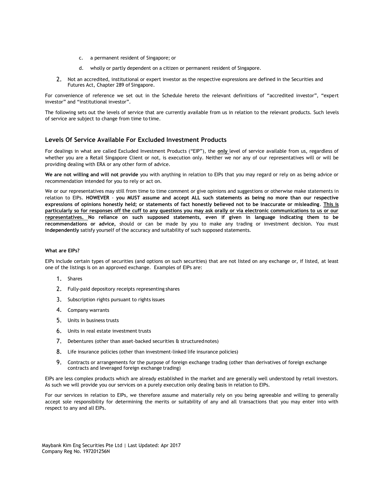- c. a permanent resident of Singapore; or
- d. wholly or partly dependent on a citizen or permanent resident of Singapore.
- 2. Not an accredited, institutional or expert investor as the respective expressions are defined in the Securities and Futures Act, Chapter 289 of Singapore.

For convenience of reference we set out in the Schedule hereto the relevant definitions of "accredited investor", "expert investor" and "institutional investor".

The following sets out the levels of service that are currently available from us in relation to the relevant products. Such levels of service are subject to change from time to time.

# **Levels Of Service Available For Excluded Investment Products**

For dealings in what are called Excluded Investment Products ("EIP"), the **only** level of service available from us, regardless of whether you are a Retail Singapore Client or not, is execution only. Neither we nor any of our representatives will or will be providing dealing with ERA or any other form of advice.

**We are not willing and will not provide** you with anything in relation to EIPs that you may regard or rely on as being advice or recommendation intended for you to rely or act on.

We or our representatives may still from time to time comment or give opinions and suggestions or otherwise make statements in relation to EIPs. **HOWEVER** - **you MUST assume and accept ALL such statements as being no more than our respective expressions of opinions honestly held; or statements of fact honestly believed not to be inaccurate or misleading**. **This is particularly so for responses off the cuff to any questions you may ask orally or via electronic communications to us or our representatives. No reliance on such supposed statements, even if given in language indicating them to be recommendations or advice,** should or can be made by you to make any trading or investment decision. You must **independently** satisfy yourself of the accuracy and suitability of such supposed statements.

#### **What are EIPs?**

EIPs include certain types of securities (and options on such securities) that are not listed on any exchange or, if listed, at least one of the listings is on an approved exchange. Examples of EIPs are:

- 1. Shares
- 2. Fully-paid depository receipts representing shares
- 3. Subscription rights pursuant to rights issues
- 4. Company warrants
- 5. Units in business trusts
- 6. Units in real estate investment trusts
- 7. Debentures (other than asset-backed securities & structurednotes)
- 8. Life insurance policies (other than investment-linked life insurance policies)
- 9. Contracts or arrangements for the purpose of foreign exchange trading (other than derivatives of foreign exchange contracts and leveraged foreign exchange trading)

EIPs are less complex products which are already established in the market and are generally well understood by retail investors. As such we will provide you our services on a purely execution only dealing basis in relation to EIPs.

For our services in relation to EIPs, we therefore assume and materially rely on you being agreeable and willing to generally accept sole responsibility for determining the merits or suitability of any and all transactions that you may enter into with respect to any and all EIPs.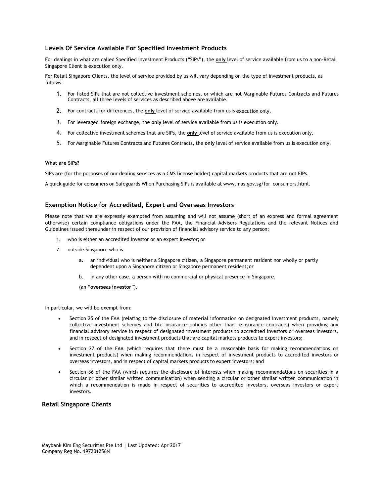# **Levels Of Service Available For Specified Investment Products**

For dealings in what are called Specified Investment Products ("SIPs"), the **only** level of service available from us to a non-Retail Singapore Client is execution only.

For Retail Singapore Clients, the level of service provided by us will vary depending on the type of investment products, as follows:

- 1. For listed SIPs that are not collective investment schemes, or which are not Marginable Futures Contracts and Futures Contracts, all three levels of services as described above are available.
- 2. For contracts for differences, the **only** level of service available from us is execution only.
- 3. For leveraged foreign exchange, the **only** level of service available from us is execution only.
- 4. For collective investment schemes that are SIPs, the **only** level of service available from us is execution only.
- 5. For Marginable Futures Contracts and Futures Contracts, the **only** level of service available from us is execution only.

#### **What are SIPs?**

SIPs are (for the purposes of our dealing services as a CMS license holder) capital markets products that are not EIPs.

A quick guide for consumers on Safeguards When Purchasing SIPs is available at [www.mas.gov.sg/for\\_consumers.html.](http://www.mas.gov.sg/for_consumers.html)

#### **Exemption Notice for Accredited, Expert and Overseas Investors**

Please note that we are expressly exempted from assuming and will not assume (short of an express and formal agreement otherwise) certain compliance obligations under the FAA, the Financial Advisers Regulations and the relevant Notices and Guidelines issued thereunder in respect of our provision of financial advisory service to any person:

- 1. who is either an accredited investor or an expert investor; or
- 2. outside Singapore who is:
	- a. an individual who is neither a Singapore citizen, a Singapore permanent resident nor wholly or partly dependent upon a Singapore citizen or Singapore permanent resident; or
	- b. in any other case, a person with no commercial or physical presence in Singapore,
	- (an "**overseas investor**").

In particular, we will be exempt from:

- Section 25 of the FAA (relating to the disclosure of material information on designated investment products, namely collective investment schemes and life insurance policies other than reinsurance contracts) when providing any financial advisory service in respect of designated investment products to accredited investors or overseas investors, and in respect of designated investment products that are capital markets products to expert investors;
- Section 27 of the FAA (which requires that there must be a reasonable basis for making recommendations on investment products) when making recommendations in respect of investment products to accredited investors or overseas investors, and in respect of capital markets products to expert investors; and
- Section 36 of the FAA (which requires the disclosure of interests when making recommendations on securities in a circular or other similar written communication) when sending a circular or other similar written communication in which a recommendation is made in respect of securities to accredited investors, overseas investors or expert investors.

#### **Retail Singapore Clients**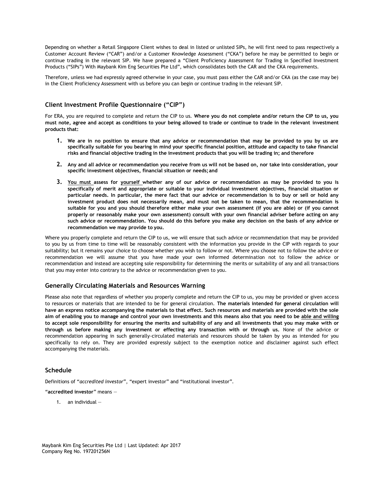Depending on whether a Retail Singapore Client wishes to deal in listed or unlisted SIPs, he will first need to pass respectively a Customer Account Review ("CAR") and/or a Customer Knowledge Assessment ("CKA") before he may be permitted to begin or continue trading in the relevant SIP. We have prepared a "Client Proficiency Assessment for Trading in Specified Investment Products ("SIPs") With Maybank Kim Eng Securities Pte Ltd", which consolidates both the CAR and the CKA requirements.

Therefore, unless we had expressly agreed otherwise in your case, you must pass either the CAR and/or CKA (as the case may be) in the Client Proficiency Assessment with us before you can begin or continue trading in the relevant SIP.

# **Client Investment Profile Questionnaire ("CIP")**

For ERA, you are required to complete and return the CIP to us. **Where you do not complete and/or return the CIP to us, you must note, agree and accept as conditions to your being allowed to trade or continue to trade in the relevant investment products that:**

- **1. We are in no position to ensure that any advice or recommendation that may be provided to you by us are specifically suitable for you bearing in mind your specific financial position, attitude and capacity to take financial**  risks and financial objective trading in the investment products that you will be trading in; and therefore
- **2. Any and all advice or recommendation you receive from us will not be based on, nor take into consideration, your specific investment objectives, financial situation or needs;and**
- **3. You must assess for yourself whether any of our advice or recommendation as may be provided to you is specifically of merit and appropriate or suitable to your individual investment objectives, financial situation or particular needs. In particular, the mere fact that our advice or recommendation is to buy or sell or hold any investment product does not necessarily mean, and must not be taken to mean, that the recommendation is suitable for you and you should therefore either make your own assessment (if you are able) or (if you cannot properly or reasonably make your own assessment) consult with your own financial adviser before acting on any such advice or recommendation. You should do this before you make any decision on the basis of any advice or recommendation we may provide to you.**

Where you properly complete and return the CIP to us, we will ensure that such advice or recommendation that may be provided to you by us from time to time will be reasonably consistent with the information you provide in the CIP with regards to your suitability; but it remains your choice to choose whether you wish to follow or not. Where you choose not to follow the advice or recommendation we will assume that you have made your own informed determination not to follow the advice or recommendation and instead are accepting sole responsibility for determining the merits or suitability of any and all transactions that you may enter into contrary to the advice or recommendation given to you.

# **Generally Circulating Materials and Resources Warning**

Please also note that regardless of whether you properly complete and return the CIP to us, you may be provided or given access to resources or materials that are intended to be for general circulation. **The materials intended for general circulation will have an express notice accompanying the materials to that effect. Such resources and materials are provided with the sole aim of enabling you to manage and control your own investments and this means also that you need to be able and willing to accept sole responsibility for ensuring the merits and suitability of any and all investments that you may make with or through us before making any investment or effecting any transaction with or through us.** None of the advice or recommendation appearing in such generally-circulated materials and resources should be taken by you as intended for you specifically to rely on. They are provided expressly subject to the exemption notice and disclaimer against such effect accompanying the materials.

# **Schedule**

Definitions of "*accredited investor*", "expert investor" and "institutional investor".

"**accredited investor**" means —

1. an individual —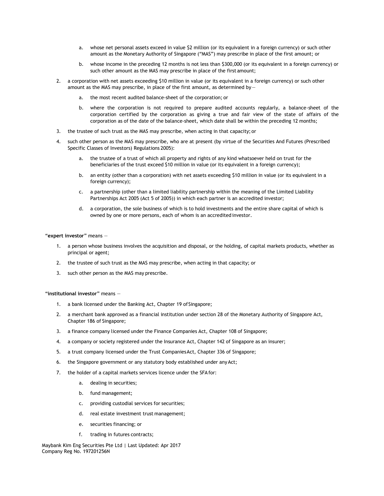- a. whose net personal assets exceed in value \$2 million (or its equivalent in a foreign currency) or such other amount as the Monetary Authority of Singapore ("MAS") may prescribe in place of the first amount; or
- b. whose income in the preceding 12 months is not less than \$300,000 (or its equivalent in a foreign currency) or such other amount as the MAS may prescribe in place of the first amount;
- 2. a corporation with net assets exceeding \$10 million in value (or its equivalent in a foreign currency) or such other amount as the MAS may prescribe, in place of the first amount, as determined by
	- a. the most recent audited balance-sheet of the corporation; or
	- b. where the corporation is not required to prepare audited accounts regularly, a balance-sheet of the corporation certified by the corporation as giving a true and fair view of the state of affairs of the corporation as of the date of the balance-sheet, which date shall be within the preceding 12 months;
- 3. the trustee of such trust as the MAS may prescribe, when acting in that capacity; or
- 4. such other person as the MAS may prescribe, who are at present (by virtue of the Securities And Futures (Prescribed Specific Classes of Investors) Regulations 2005):
	- the trustee of a trust of which all property and rights of any kind whatsoever held on trust for the beneficiaries of the trust exceed \$10 million in value (or its equivalent in a foreign currency);
	- b. an entity (other than a corporation) with net assets exceeding \$10 million in value (or its equivalent in a foreign currency);
	- c. a partnership (other than a limited liability partnership within the meaning of the Limited Liability Partnerships Act 2005 (Act 5 of 2005)) in which each partner is an accredited investor;
	- d. a corporation, the sole business of which is to hold investments and the entire share capital of which is owned by one or more persons, each of whom is an accredited investor.

"**expert investor**" means —

- 1. a person whose business involves the acquisition and disposal, or the holding, of capital markets products, whether as principal or agent;
- 2. the trustee of such trust as the MAS may prescribe, when acting in that capacity; or
- 3. such other person as the MAS may prescribe.

"**institutional investor**" means —

- 1. a bank licensed under the Banking Act, Chapter 19 of Singapore;
- 2. a merchant bank approved as a financial institution under section 28 of the Monetary Authority of Singapore Act, Chapter 186 of Singapore;
- 3. a finance company licensed under the Finance Companies Act, Chapter 108 of Singapore;
- 4. a company or society registered under the Insurance Act, Chapter 142 of Singapore as an insurer;
- 5. a trust company licensed under the Trust CompaniesAct, Chapter 336 of Singapore;
- 6. the Singapore government or any statutory body established under any Act;
- 7. the holder of a capital markets services licence under the SFA for:
	- a. dealing in securities;
	- b. fund management;
	- c. providing custodial services for securities;
	- d. real estate investment trust management;
	- e. securities financing; or
	- f. trading in futures contracts;

Maybank Kim Eng Securities Pte Ltd | Last Updated: Apr 2017 Company Reg No. 197201256N